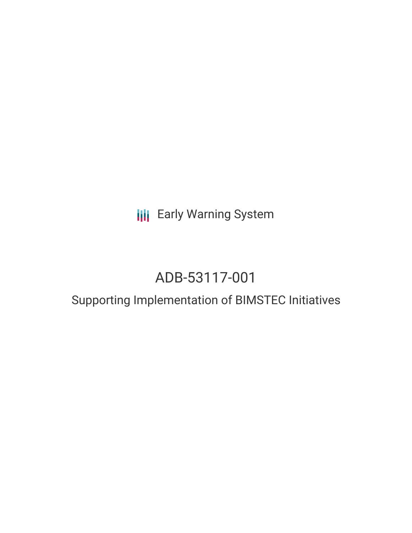**III** Early Warning System

# ADB-53117-001

## Supporting Implementation of BIMSTEC Initiatives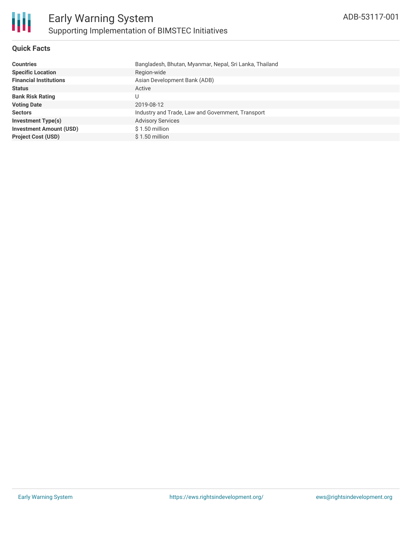

#### **Quick Facts**

| <b>Countries</b>               | Bangladesh, Bhutan, Myanmar, Nepal, Sri Lanka, Thailand |
|--------------------------------|---------------------------------------------------------|
| <b>Specific Location</b>       | Region-wide                                             |
| <b>Financial Institutions</b>  | Asian Development Bank (ADB)                            |
| <b>Status</b>                  | Active                                                  |
| <b>Bank Risk Rating</b>        |                                                         |
| <b>Voting Date</b>             | 2019-08-12                                              |
| <b>Sectors</b>                 | Industry and Trade, Law and Government, Transport       |
| Investment Type(s)             | <b>Advisory Services</b>                                |
| <b>Investment Amount (USD)</b> | $$1.50$ million                                         |
| <b>Project Cost (USD)</b>      | $$1.50$ million                                         |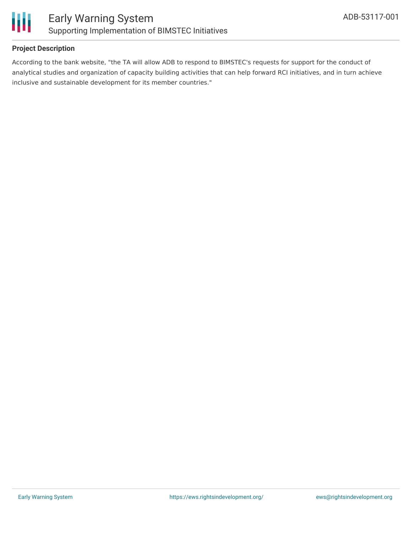

#### **Project Description**

According to the bank website, "the TA will allow ADB to respond to BIMSTEC's requests for support for the conduct of analytical studies and organization of capacity building activities that can help forward RCI initiatives, and in turn achieve inclusive and sustainable development for its member countries."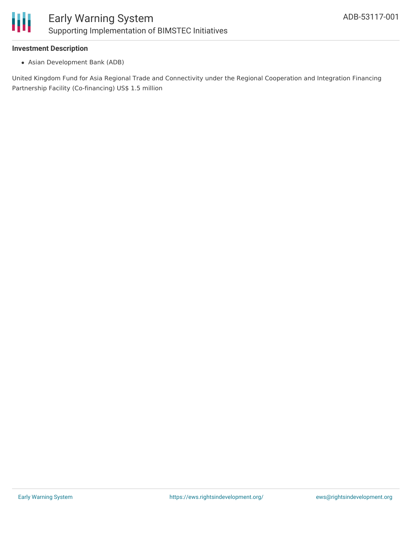

#### **Investment Description**

Asian Development Bank (ADB)

United Kingdom Fund for Asia Regional Trade and Connectivity under the Regional Cooperation and Integration Financing Partnership Facility (Co-financing) US\$ 1.5 million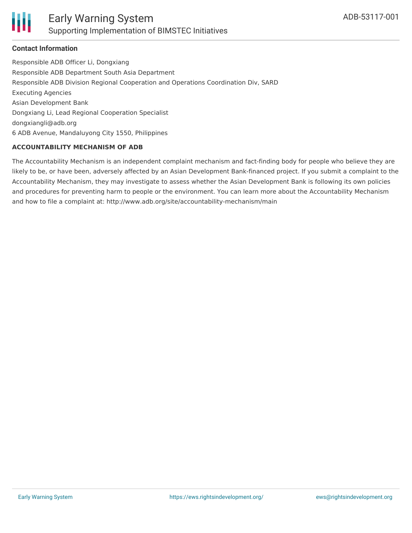

#### **Contact Information**

Responsible ADB Officer Li, Dongxiang Responsible ADB Department South Asia Department Responsible ADB Division Regional Cooperation and Operations Coordination Div, SARD Executing Agencies Asian Development Bank Dongxiang Li, Lead Regional Cooperation Specialist dongxiangli@adb.org 6 ADB Avenue, Mandaluyong City 1550, Philippines

#### **ACCOUNTABILITY MECHANISM OF ADB**

The Accountability Mechanism is an independent complaint mechanism and fact-finding body for people who believe they are likely to be, or have been, adversely affected by an Asian Development Bank-financed project. If you submit a complaint to the Accountability Mechanism, they may investigate to assess whether the Asian Development Bank is following its own policies and procedures for preventing harm to people or the environment. You can learn more about the Accountability Mechanism and how to file a complaint at: http://www.adb.org/site/accountability-mechanism/main